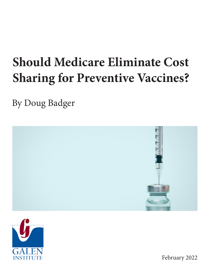# **Should Medicare Eliminate Cost Sharing for Preventive Vaccines?**

By Doug Badger





February 2022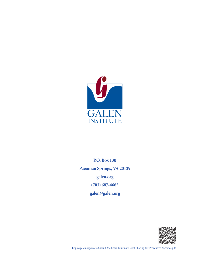

**P.O. Box 130 Paeonian Springs, VA 20129 <galen.org> (703) 687-4665 galen[@galen.org](galen.org)**



<https://galen.org/assets/Should-Medicare-Eliminate-Cost-Sharing-for-Preventive-Vaccines.pdf>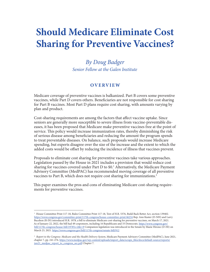# **Should Medicare Eliminate Cost Sharing for Preventive Vaccines?**

*By Doug Badger Senior Fellow at the Galen Institute*

#### **OVERVIEW**

Medicare coverage of preventive vaccines is balkanized. Part B covers some preventive vaccines, while Part D covers others. Beneficiaries are not responsible for cost sharing for Part B vaccines. Most Part D plans require cost sharing, with amounts varying by plan and product.

Cost-sharing requirements are among the factors that affect vaccine uptake. Since seniors are generally more susceptible to severe illness from vaccine-preventable diseases, it has been proposed that Medicare make preventive vaccines free at the point of service. This policy would increase immunization rates, thereby diminishing the risk of serious disease among beneficiaries and reducing the amount the program spends to treat preventable diseases. On balance, such proposals would increase Medicare spending, but experts disagree over the size of the increase and the extent to which the added costs would be offset by reducing the incidence of illness that vaccines prevent.

Proposals to eliminate cost sharing for preventive vaccines take various approaches. Legislation passed by the House in 2021 includes a provision that would reduce cost sharing for vaccines covered under Part D to \$0.<sup>1</sup> Alternatively, the Medicare Payment Advisory Committee (MedPAC) has recommended moving coverage of all preventive vaccines to Part B, which does not require cost sharing for immunizations.2

This paper examines the pros and cons of eliminating Medicare cost-sharing requirements for preventive vaccines.

<sup>1</sup> House Committee Print 117-18, Rules Committee Print 117-18, Text of H.R. 5376, Build Back Better Act, section 139402. https://www.congress.gov/committee-print/117th-congress/house-committee-print/46234 Rep. Ann Kuster (D-NH) and Larry Bucshon (R-IN) introduced H.R. 1978, a bill to eliminate Medicare cost-sharing for preventive vaccines, on March 17, 2021. As of January 22, 2022, the bill had 49 cosponsors, including 16 Republicans and 33 Democrats. https://www.congress.gov/ bill/117th-congress/house-bill/1978?s=2&r=9 Companion legislation was introduced in the Senate by Mazie Hirono (D-HI) on March 23, 2021. https://www.congress.gov/bill/117th-congress/senate-bill/912

<sup>2</sup> *Report to the Congress: Medicare and the Health Delivery System*, Medicare Payment Advisory Committee (MedPAC), June 2021, chapter 7, pp. 241-276. https://www.medpac.gov/wp-content/uploads/import\_data/scrape\_files/docs/default-source/reports/ jun21\_medpac\_report\_to\_congress\_sec.pdf Chapter 7.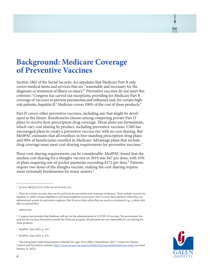# **Background: Medicare Coverage of Preventive Vaccines**

Section 1862 of the Social Security Act stipulates that Medicare Part B only covers medical items and services that are "reasonable and necessary for the diagnosis or treatment of illness or injury."3 Preventive vaccines do not meet this criterion.4 Congress has carved out exceptions, providing for Medicare Part B coverage of vaccines to prevent pneumonia and influenza and, for certain highrisk patients, hepatitis B.<sup>5</sup> Medicare covers 100% of the cost of these products.<sup>6</sup>

Part D covers other preventive vaccines, including any that might be developed in the future. Beneficiaries choose among competing private Part D plans to receive their prescription drug coverage. These plans use formularies, which vary cost sharing by product, including preventive vaccines. CMS has encouraged plans to create a preventive vaccine tier with no cost sharing. But MedPAC estimates that all enrollees in free-standing prescription drug plans and 90% of beneficiaries enrolled in Medicare Advantage plans that include drug coverage must meet cost-sharing requirements for preventive vaccines.<sup>7</sup>

These cost-sharing requirements can be considerable. MedPAC found that the median cost sharing for a shingles vaccine in 2019 was \$47 per dose, with 10% of plans requiring out-of-pocket payments exceeding \$172 per dose.<sup>8</sup> Patients require two doses of the shingles vaccine, making the cost-sharing requirement extremely burdensome for many seniors.<sup>9</sup>

 $5\quad 1861(s)(10).$ 

<sup>7</sup> MedPAC, June 2021, p. 245.



<sup>3</sup> Section 1862(a)(1)(A) of the Social Security Act.

<sup>4</sup> There are certain vaccines that can be used both for prevention and treatment of diseases. These include vaccines for hepatitis A, rabies, tetanus/diphtheria and tetanus/diphtheria/pertussis. Part D covers these products when they are administered as part of a preventive regimen. Part B covers them when they are used as a treatment (e.g., a rabies shot after an animal bite).

<sup>6</sup> Congress has provided that Medicare will pay for the administration of COVID-19 vaccines. The government has paid for the vaccines themselves outside the Medicare program. Beneficiaries are not responsible for cost sharing for these products.

<sup>8</sup> MedPAC, June 2021, p. 255.

<sup>9</sup> "Recommended Adult Immunization Schedule for Ages 19 or Older, United States, 2021," Centers for Disease Control and Prevention, undated. https://www.cdc.gov/vaccines/schedules/hcp/imz/adult.html#note-zoster (accessed January 22, 2022).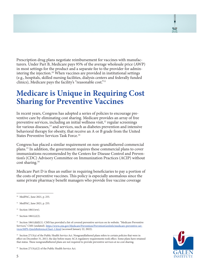Prescription drug plans negotiate reimbursement for vaccines with manufacturers. Under Part B, Medicare pays 95% of the average wholesale price (AWP) in most settings for the product and a separate fee to the provider for administering the injection.<sup>10</sup> When vaccines are provided in institutional settings (e.g., hospitals, skilled nursing facilities, dialysis centers and federally funded clinics), Medicare pays the facility's "reasonable cost."11

# **Medicare is Unique in Requiring Cost Sharing for Preventive Vaccines**

In recent years, Congress has adopted a series of policies to encourage preventive care by eliminating cost sharing. Medicare provides an array of free preventive services, including an initial wellness visit, $12$  regular screenings for various diseases,13 and services, such as diabetes prevention and intensive behavioral therapy for obesity, that receive an A or B grade from the United States Preventive Services Task Force.<sup>14</sup>

Congress has placed a similar requirement on non-grandfathered commercial plans.15 In addition, the government requires these commercial plans to cover immunizations recommended by the Centers for Disease Control and Prevention's (CDC) Advisory Committee on Immunization Practices (ACIP) without cost sharing.16

Medicare Part D is thus an outlier in requiring beneficiaries to pay a portion of the costs of preventive vaccines. This policy is especially anomalous since the same private pharmacy benefit managers who provide free vaccine coverage

<sup>14</sup> Section 1861(ddd)(1). CMS has provided a list of covered preventive services on its website. "Medicare Preventive Services," CMS (undated). https://www.cms.gov/Medicare/Prevention/PrevntionGenInfo/medicare-preventive-services/MPS-QuickReferenceChart-1.html (accessed January 22, 2022).

<sup>15</sup> Section 2713(a) of the Public Health Service Act. Nongrandfathered plans refers to certain policies that were in effect on December 31, 2013, the day before many ACA regulatory requirements took effect. Some plans have retained that status. These nongrandfathered plans are not required to provide preventive services at no cost sharing.



<sup>16</sup> Section 2713(a)(2) of the Public Health Service Act.

<sup>10</sup> MedPAC, June 2021, p. 255.

<sup>&</sup>lt;sup>11</sup> MedPAC, June 2021, p. 255.

 $12$  Section 1861(ww).

<sup>13</sup> Section 1861(s)(2).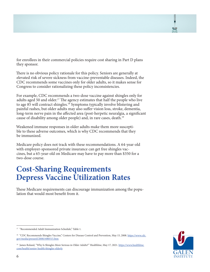for enrollees in their commercial policies require cost sharing in Part D plans they sponsor.

There is no obvious policy rationale for this policy. Seniors are generally at elevated risk of severe sickness from vaccine-preventable diseases. Indeed, the CDC recommends some vaccines only for older adults, so it makes sense for Congress to consider rationalizing these policy inconsistencies.

For example, CDC recommends a two-dose vaccine against shingles only for adults aged 50 and older.<sup>17</sup> The agency estimates that half the people who live to age 85 will contract shingles.18 Symptoms typically involve blistering and painful rashes, but older adults may also suffer vision loss, stroke, dementia, long-term nerve pain in the affected area (post-herpetic neuralgia, a significant cause of disability among older people) and, in rare cases, death.19

Weakened immune responses in older adults make them more susceptible to these adverse outcomes, which is why CDC recommends that they be immunized.

Medicare policy does not track with these recommendations. A 64-year-old with employer-sponsored private insurance can get free shingles vaccines, but a 65-year-old on Medicare may have to pay more than \$350 for a two-dose course.

# **Cost-Sharing Requirements Depress Vaccine Utilization Rates**

These Medicare requirements can discourage immunization among the population that would most benefit from it.



 $^{17}\,$  "Recommended Adult Immunization Schedule," Table 1.

<sup>&</sup>lt;sup>18</sup> "CDC Recommends Shingles Vaccine," Centers for Disease Control and Prevention, May 15, 2008. https://www.cdc. gov/media/pressrel/2008/r080515.htm

<sup>&</sup>lt;sup>19</sup> James Roland, "Why Is Shingles More Serious in Older Adults?" Healthline, May 17, 2021. https://www.healthline. com/health/senior-health/shingles-elderly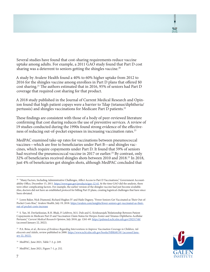Several studies have found that cost-sharing requirements reduce vaccine uptake among adults. For example, a 2011 GAO study found that Part D cost sharing was a deterrent to seniors getting the shingles vaccine.<sup>20</sup>

A study by Avalere Health found a 40% to 60% higher uptake from 2012 to 2016 for the shingles vaccine among enrollees in [Part D](https://avalere.com/expertise/life-sciences/insights/shifting-drugs-from-medicare-part-b-to-part-d-learnings-from-medicare-cover) plans that offered \$0 cost sharing.21 The authors estimated that in 2016, 95% of seniors had Part D coverage that required cost sharing for that product.

A 2018 study published in the Journal of Current Medical Research and Opinion found that high patient copays were a barrier to Tdap (tetanus/diphtheria/ pertussis) and shingles vaccinations for Medicare Part D patients.<sup>22</sup>

These findings are consistent with those of a body of peer-reviewed literature confirming that cost sharing reduces the use of preventive services. A review of 19 studies conducted during the 1990s found strong evidence of the effectiveness of reducing out-of-pocket expenses in increasing vaccination rates.<sup>23</sup>

MedPAC examined take-up rates for vaccinations between pneumococcal vaccines—which are free to beneficiaries under Part B—and shingles vaccines, which require copayments under Part D. It found that 59% of seniors had received the pneumococcal vaccine in 2017 or earlier.<sup>24</sup> By contrast, only 32% of beneficiaries received shingles shots between 2010 and 2018.<sup>25</sup> In 2018, just 4% of beneficiaries got shingles shots, although MedPAC concluded that



<sup>&</sup>lt;sup>20</sup> "Many Factors, Including Administrative Challenges, Affect Access to Part D Vaccinations," Government Accountability Office, December 15, 2011. https://www.gao.gov/products/gao-12-61 At the time GAO did the analysis, there were other complicating factors. For example, the earlier version of the shingles vaccine had just become available. Also, doctors did not have an established protocol for billing Part D plans, creating logistical challenges that have since been obviated.

<sup>&</sup>lt;sup>21</sup> Loren Baker, Nick Diamond, Richard Hughes IV and Haile Dagney, "Fewer Seniors Get Vaccinated as Their Out-of-Pocket Costs Rise," Avalere Health, July 19, 2018. https://avalere.com/insights/fewer-seniors-get-vaccinated-as-theirout-of-pocket-costs-increase

<sup>22</sup> S. Yan, M. DerSarkissian, R.H. Bhak, P. Lefebvre, M.S. Duh and G. Krishnarajah,"Relationship Between Patient Copayments in Medicare Part D and Vaccination Claim Status for Herpes Zoster and Tetanus-Diphtheria-Acellular Pertussis," *Current Medical Research Opinion*, July 2018, pp. 1261-69. https://pubmed.ncbi.nlm.nih.gov/29231748/ (accessed January 22, 2022).

<sup>23</sup> P.A. Briss, et al., *Reviews of Evidence Regarding Interventions to Improve Vaccination Coverage in Children, Adolescents and Adults*, review published in 2000. https://www.ncbi.nlm.nih.gov/books/NBK68159/ (accessed January 22, 2022).

<sup>24</sup> MedPAC, June 2021, Table 7-3, p. 249.

<sup>25</sup> MedPAC, June 2021, Figure 7-1, p. 252.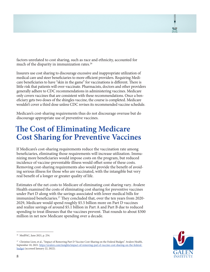factors unrelated to cost sharing, such as race and ethnicity, accounted for much of the disparity in immunization rates.<sup>26</sup>

Insurers use cost sharing to discourage excessive and inappropriate utilization of medical care and steer beneficiaries to more efficient providers. Requiring Medicare beneficiaries to have "skin in the game" for vaccinations is different. There is little risk that patients will over-vaccinate. Pharmacists, doctors and other providers generally adhere to CDC recommendations in administering vaccines. Medicare only covers vaccines that are consistent with these recommendations. Once a beneficiary gets two doses of the shingles vaccine, the course is completed. Medicare wouldn't cover a third dose unless CDC revises its recommended vaccine schedule.

Medicare's cost-sharing requirements thus do not discourage overuse but do discourage appropriate use of preventive vaccines.

# **The Cost of Eliminating Medicare Cost Sharing for Preventive Vaccines**

If Medicare's cost-sharing requirements reduce the vaccination rate among beneficiaries, eliminating those requirements will increase utilization. Immunizing more beneficiaries would impose costs on the program, but reduced incidence of vaccine-preventable illness would offset some of these costs. Removing cost-sharing requirements also would provide the benefit of avoiding serious illness for those who are vaccinated, with the intangible but very real benefit of a longer or greater quality of life.

Estimates of the net costs to Medicare of eliminating cost sharing vary. Avalere Health examined the costs of eliminating cost sharing for preventive vaccines under Part D along with the savings associated with lower medical bills for immunized beneficiaries.<sup>27</sup> They concluded that, over the ten years from 2020-2029, Medicare would spend roughly \$5.5 billion more on Part D vaccines and realize savings of around \$5.1 billion in Part A and Part B due to reduced spending to treat illnesses that the vaccines prevent. That rounds to about \$300 million in net new Medicare spending over a decade.

<sup>26</sup> MedPAC, June 2021, p. 254.

<sup>&</sup>lt;sup>27</sup> Christine Liow, et al., "Impact of Removing Part D Vaccine Cost-Sharing on the Federal Budget," Avalere Health, September 10, 2021. https://avalere.com/insights/impact-of-removing-part-d-vaccine-cost-sharing-on-the-federalbudget (accessed January 22, 2022).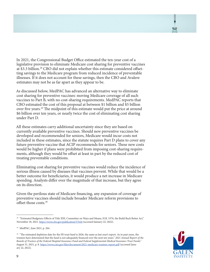In 2021, the Congressional Budget Office estimated the ten-year cost of a legislative provision to eliminate Medicare cost sharing for preventive vaccines at \$3.3 billion.28 CBO did not explain whether this estimate considered offsetting savings to the Medicare program from reduced incidence of preventable illnesses. If it does not account for these savings, then the CBO and Avalere estimates may not be as far apart as they appear to be.

As discussed below, MedPAC has advanced an alternative way to eliminate cost sharing for preventive vaccines: moving Medicare coverage of all such vaccines to Part B, with no cost-sharing requirements. MedPAC reports that CBO estimated the cost of this proposal at between \$1 billion and \$5 billion over five years.29 The midpoint of this estimate would put the price at around \$6 billion over ten years, or nearly twice the cost of eliminating cost sharing under Part D.

All these estimates carry additional uncertainty since they are based on currently available preventive vaccines. Should new preventive vaccines be developed and recommended for seniors, Medicare would incur costs not included in these estimates, since the statute requires Part D plans to cover any future preventive vaccine that ACIP recommends for seniors. These new costs would be higher if plans were prohibited from imposing cost-sharing requirements, although they would be offset at least in part by the reduced cost of treating preventable conditions.

Eliminating cost sharing for preventive vaccines would reduce the incidence of serious illness caused by diseases that vaccines prevent. While that would be a better outcome for beneficiaries, it would produce a net increase in Medicare spending. Analysts differ over the magnitude of that increase, but they agree on its direction.

Given the perilous state of Medicare financing, any expansion of coverage of preventive vaccines should include broader Medicare reform provisions to offset those costs.30



<sup>&</sup>lt;sup>28</sup> "Estimated Budgetary Effects of Title XIII, Committee on Ways and Means, H.R. 5376, the Build Back Better Act," November 18, 2021. https://www.cbo.gov/publication/57626 (accessed January 22, 2022).

<sup>29</sup> MedPAC, June 2021, p. 264.

<sup>&</sup>lt;sup>30</sup> "The estimated depletion date for the HI trust fund is 2026, the same as last year's report. As in past years, the trustees have determined that the fund is not adequately financed over the next ten years." *2021 Annual Report of the Boards of Trustees of the Federal Hospital Insurance Fund and Federal Supplemental Medical Insurance Trust Funds,"* August 31, 2021, p. 8. https://www.cms.gov/files/document/2021-medicare-trustees-report.pdf (accessed January 22, 2022).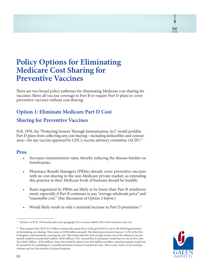# **Policy Options for Eliminating Medicare Cost Sharing for Preventive Vaccines**

There are two broad policy pathways for eliminating Medicare cost sharing for vaccines: Move all vaccine coverage to Part B or require Part D plans to cover preventive vaccines without cost sharing.

### **Option 1: Eliminate Medicare Part D Cost**

#### **Sharing for Preventive Vaccines**

H.R. 1978, the "Protecting Seniors Through Immunization Act," would prohibit Part D plans from collecting any cost sharing—including deductibles and coinsurance—for any vaccine approved by CDC's vaccine advisory committee (ACIP).<sup>31</sup>

#### **Pros**

- Increases immunization rates, thereby reducing the disease burden on beneficiaries.
- Pharmacy Benefit Managers (PBMs) already cover preventive vaccines with no cost sharing in the non-Medicare private market, so extending this practice to their Medicare book of business should be feasible.
- Rates negotiated by PBMs are likely to be lower than Part B reimbursement, especially if Part B continues to pay "average wholesale price" and "reasonable cost." (See discussion of Option 2 below.)
- Would likely result in only a minimal increase in Part D premiums.<sup>32</sup>



<sup>31</sup> Section 3 of H.R. 1978 would add a new paragraph (8) to section 1860D-2(b) of the Social Security Act.

<sup>32</sup> This assumes that CBO's \$3.3 billion estimate discussed above is the gross Part D cost to the federal government of eliminating cost sharing. That comes to \$330 million annually. The federal government finances 74.5% of the Part D program, with premiums covering the rest. That means that the total average annual cost of the enhanced vaccine benefit would be around \$443 million (\$330 million/.745). Annual Part D premiums would have to rise by \$113 million (\$443 million - \$330 million). Since this would be spread over 48.8 million enrollees, annual premiums would rise by around \$2.32, translating to a monthly premium increase of around 20 cents. This is only a back-of-the envelope estimate and not the product of actuarial analysis.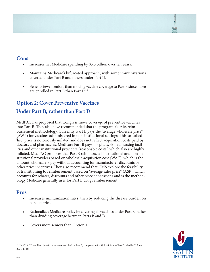#### **Cons**

- Increases net Medicare spending by \$3.3 billion over ten years.
- Maintains Medicare's bifurcated approach, with some immunizations covered under Part B and others under Part D.
- Benefits fewer seniors than moving vaccine coverage to Part B since more are enrolled in Part B than Part D.33

#### **Option 2: Cover Preventive Vaccines**

#### **Under Part B, rather than Part D**

MedPAC has proposed that Congress move coverage of preventive vaccines into Part B. They also have recommended that the program alter its reimbursement methodology. Currently, Part B pays the "average wholesale price" (AWP) for vaccines administered in non-institutional settings. This so-called "list" price is notoriously inflated and does not reflect acquisition costs paid by doctors and pharmacies. Medicare Part B pays hospitals, skilled nursing facilities and other institutional providers "reasonable costs," which also are highly inflated. MedPAC proposes that Part B reimburse all institutional and non-institutional providers based on wholesale acquisition cost (WAC), which is the amount wholesalers pay without accounting for manufacturer discounts or other price incentives. They also recommend that CMS explore the feasibility of transitioning to reimbursement based on "average sales price" (ASP), which accounts for rebates, discounts and other price concessions and is the methodology Medicare generally uses for Part B drug reimbursement.

#### **Pros**

- Increases immunization rates, thereby reducing the disease burden on beneficiaries.
- Rationalizes Medicare policy by covering all vaccines under Part B, rather than dividing coverage between Parts B and D.
- Covers more seniors than Option 1.



<sup>&</sup>lt;sup>33</sup> In 2020, 57.3 million beneficiaries were enrolled in Part B, compared with 48.8 million in Part D. MedPAC, June 2021, p. 258.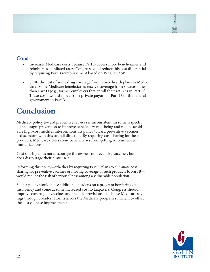#### **Cons**

- Increases Medicare costs because Part B covers more beneficiaries and reimburses at inflated rates. Congress could reduce this cost differential by requiring Part B reimbursement based on WAC or ASP.
- Shifts the cost of some drug coverage from retiree health plans to Medicare. Some Medicare beneficiaries receive coverage from sources other than Part D (e.g., former employers that enroll their retirees in Part D). These costs would move from private payors in Part D to the federal government in Part B.

# **Conclusion**

Medicare policy toward preventive services is inconsistent. In some respects, it encourages prevention to improve beneficiary well-being and reduce avoidable high-cost medical interventions. Its policy toward preventive vaccines is discordant with this overall direction. By requiring cost sharing for these products, Medicare deters some beneficiaries from getting recommended immunizations.

Cost sharing does not discourage the *overuse* of preventive vaccines, but it does discourage their *proper use*.

Reforming this policy—whether by requiring Part D plans to eliminate cost sharing for preventive vaccines or moving coverage of such products to Part B would reduce the risk of serious illness among a vulnerable population.

Such a policy would place additional burdens on a program bordering on insolvency and come at some increased cost to taxpayers. Congress should improve coverage of vaccines and include provisions to achieve Medicare savings through broader reforms across the Medicare program sufficient to offset the cost of these improvements.